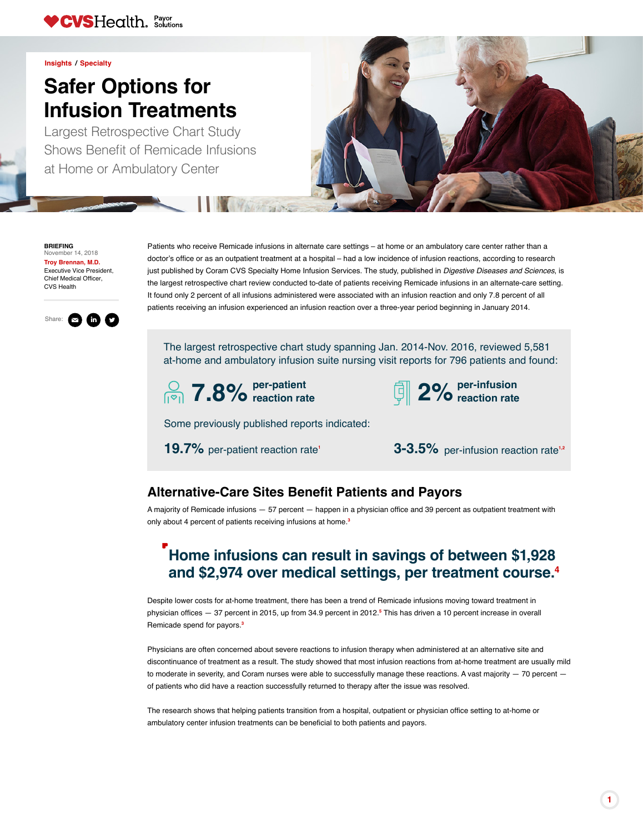Patients who receive Remicade infusions in alternate care settings – at home or an ambulatory care center rather than a doctor's office or as an outpatient treatment at a hospital – had a low incidence of infusion reactions, according to research just published by Coram CVS Specialty Home Infusion Services. The study, published in *Digestive Diseases and Sciences*, is the largest retrospective chart review conducted to-date of patients receiving Remicade infusions in an alternate-care setting. It found only 2 percent of all infusions administered were associated with an infusion reaction and only 7.8 percent of all patients receiving an infusion experienced an infusion reaction over a three-year period beginning in January 2014.

## **Home infusions can result in savings of between \$1,928 and \$2,974 over medical settings, per treatment course[.4](#page-1-0)**

### **Alternative-Care Sites Benefit Patients and Payors**

A majority of Remicade infusions — 57 percent — happen in a physician office and 39 percent as outpatient treatment with only about 4 percent of patients receiving infusions at home.**[3](#page-1-1)**

Despite lower costs for at-home treatment, there has been a trend of Remicade infusions moving toward treatment in physician offices — 37 percent in 2015, up from 34.9 percent in 2012.**[5](#page-1-2)** This has driven a 10 percent increase in overall Remicade spend for payors.**[3](#page-1-2)**

Physicians are often concerned about severe reactions to infusion therapy when administered at an alternative site and discontinuance of treatment as a result. The study showed that most infusion reactions from at-home treatment are usually mild to moderate in severity, and Coram nurses were able to successfully manage these reactions. A vast majority — 70 percent of patients who did have a reaction successfully returned to therapy after the issue was resolved.

The research shows that helping patients transition from a hospital, outpatient or physician office setting to at-home or ambulatory center infusion treatments can be beneficial to both patients and payors.

#### **BRIEFING** November 14, 2018

**[Troy Brennan, M.D.](https://payorsolutions.cvshealth.com/insights/contributors/troy-brennan-md?utm_source=181114_safer-options-for-infusion-treatments&utm_medium=pdf)** Executive Vice President,

Chief Medical Officer, CVS Health

# **Safer Options for Infusion Treatments**



**[Insights](https://payorsolutions.cvshealth.com/insights?utm_source=181114_safer-options-for-infusion-treatments&utm_medium=pdf) / [Specialty](https://payorsolutions.cvshealth.com/insights?field_insights_topic_tid%5B%5D=46&utm_source=181114_safer-options-for-infusion-treatments&utm_medium=pdf)**

Largest Retrospective Chart Study Shows Benefit of Remicade Infusions at Home or Ambulatory Center





The largest retrospective chart study spanning Jan. 2014-Nov. 2016, reviewed 5,581 at-home and ambulatory infusion suite nursing visit reports for 796 patients and found:





Some previously published reports indicated:

[1](#page-1-3)9.7% per-patient reaction rate<sup>1</sup> **3-3.5%** per-infusion reaction rate<sup>[1,](https://www.ncbi.nlm.nih.gov/pubmed/21960854)[2](#page-1-4)</sup>